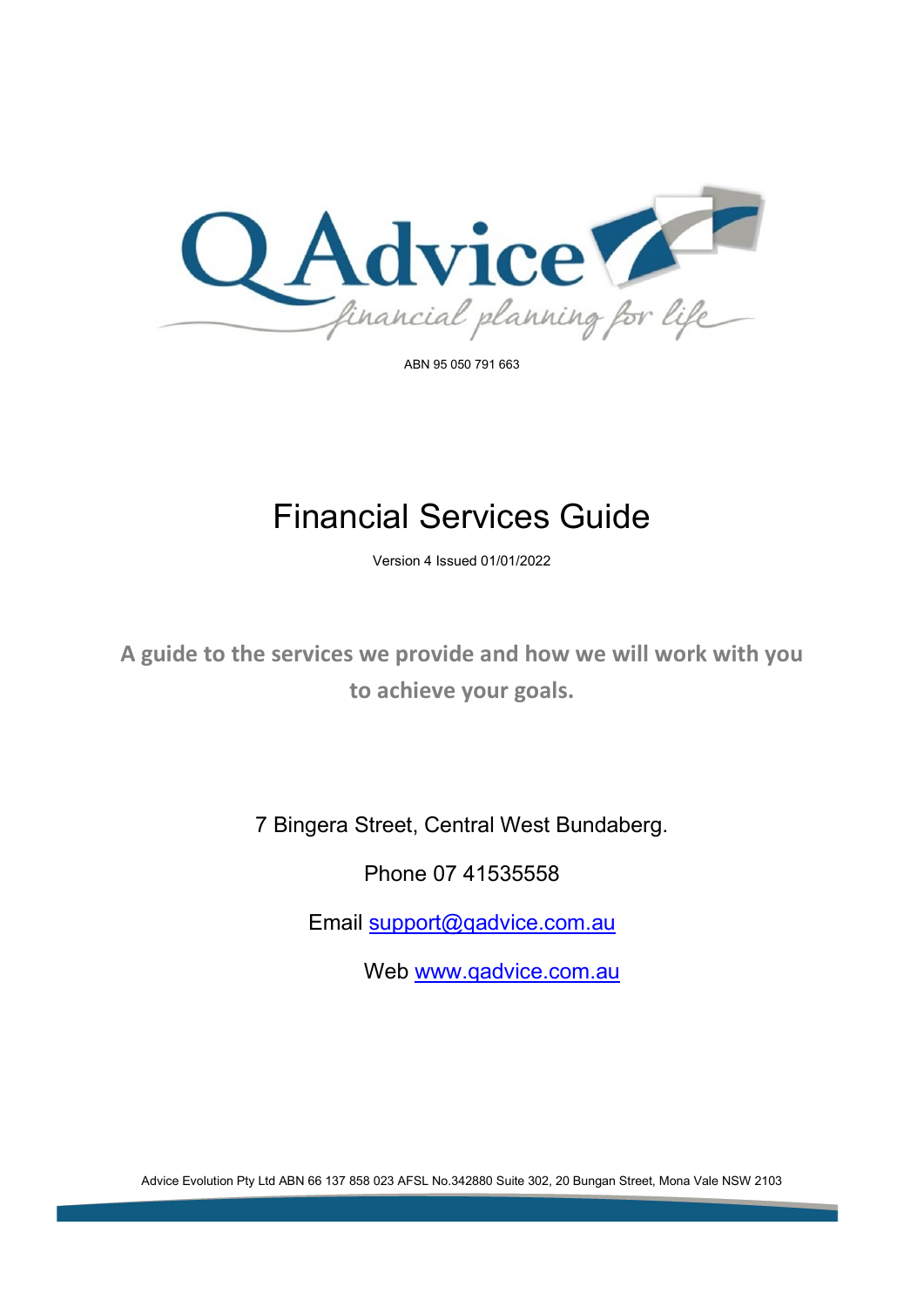

ABN 95 050 791 663

# Financial Services Guide

Version 4 Issued 01/01/2022

**A guide to the services we provide and how we will work with you to achieve your goals.**

7 Bingera Street, Central West Bundaberg.

Phone 07 41535558

Email [support@qadvice.com.au](mailto:support@qadvice.com.au)

Web [www.qadvice.com.au](http://www.qadvice.com.au/)

Advice Evolution Pty Ltd ABN 66 137 858 023 AFSL No.342880 Suite 302, 20 Bungan Street, Mona Vale NSW 2103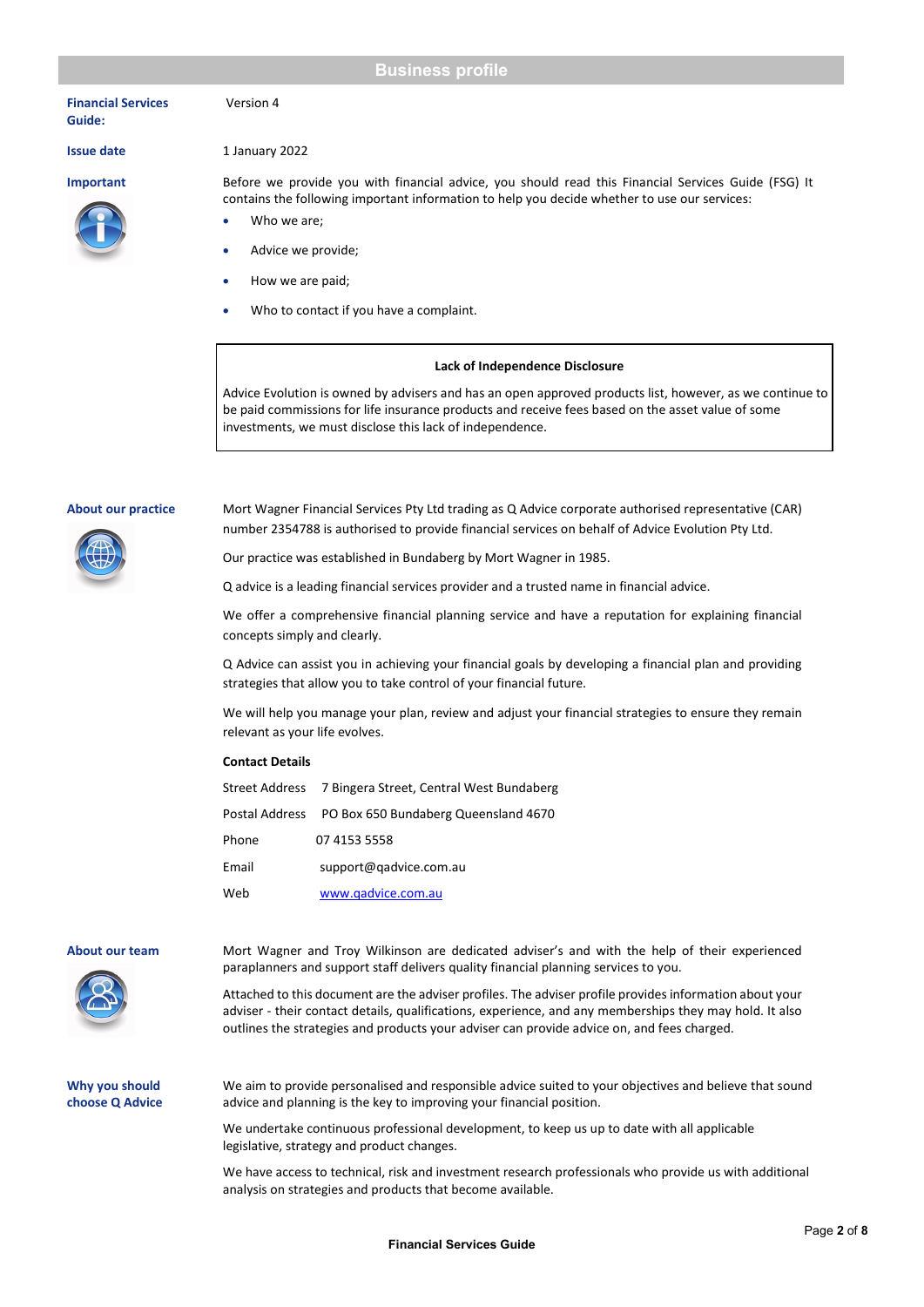# **Business profile**

**Financial Services Guide:**



# **Issue date** 1 January 2022

Version 4

**Important** Before we provide you with financial advice, you should read this Financial Services Guide (FSG) It contains the following important information to help you decide whether to use our services:

- Who we are;
- Advice we provide;
- How we are paid;
- Who to contact if you have a complaint.

# **Lack of Independence Disclosure**

Advice Evolution is owned by advisers and has an open approved products list, however, as we continue to be paid commissions for life insurance products and receive fees based on the asset value of some investments, we must disclose this lack of independence.

**About our practice** Mort Wagner Financial Services Pty Ltd trading as Q Advice corporate authorised representative (CAR) number 2354788 is authorised to provide financial services on behalf of Advice Evolution Pty Ltd.

Our practice was established in Bundaberg by Mort Wagner in 1985.

Q advice is a leading financial services provider and a trusted name in financial advice.

We offer a comprehensive financial planning service and have a reputation for explaining financial concepts simply and clearly.

Q Advice can assist you in achieving your financial goals by developing a financial plan and providing strategies that allow you to take control of your financial future.

We will help you manage your plan, review and adjust your financial strategies to ensure they remain relevant as your life evolves.

### **Contact Details**

|       | Street Address 7 Bingera Street, Central West Bundaberg |
|-------|---------------------------------------------------------|
|       | Postal Address PO Box 650 Bundaberg Queensland 4670     |
| Phone | 07 4153 5558                                            |
| Email | support@gadvice.com.au                                  |
| Web   | www.gadvice.com.au                                      |



**About our team** Mort Wagner and Troy Wilkinson are dedicated adviser's and with the help of their experienced paraplanners and support staff delivers quality financial planning services to you.

> Attached to this document are the adviser profiles. The adviser profile provides information about your adviser - their contact details, qualifications, experience, and any memberships they may hold. It also outlines the strategies and products your adviser can provide advice on, and fees charged.

**Why you should choose Q Advice**  We aim to provide personalised and responsible advice suited to your objectives and believe that sound advice and planning is the key to improving your financial position.

We undertake continuous professional development, to keep us up to date with all applicable legislative, strategy and product changes.

We have access to technical, risk and investment research professionals who provide us with additional analysis on strategies and products that become available.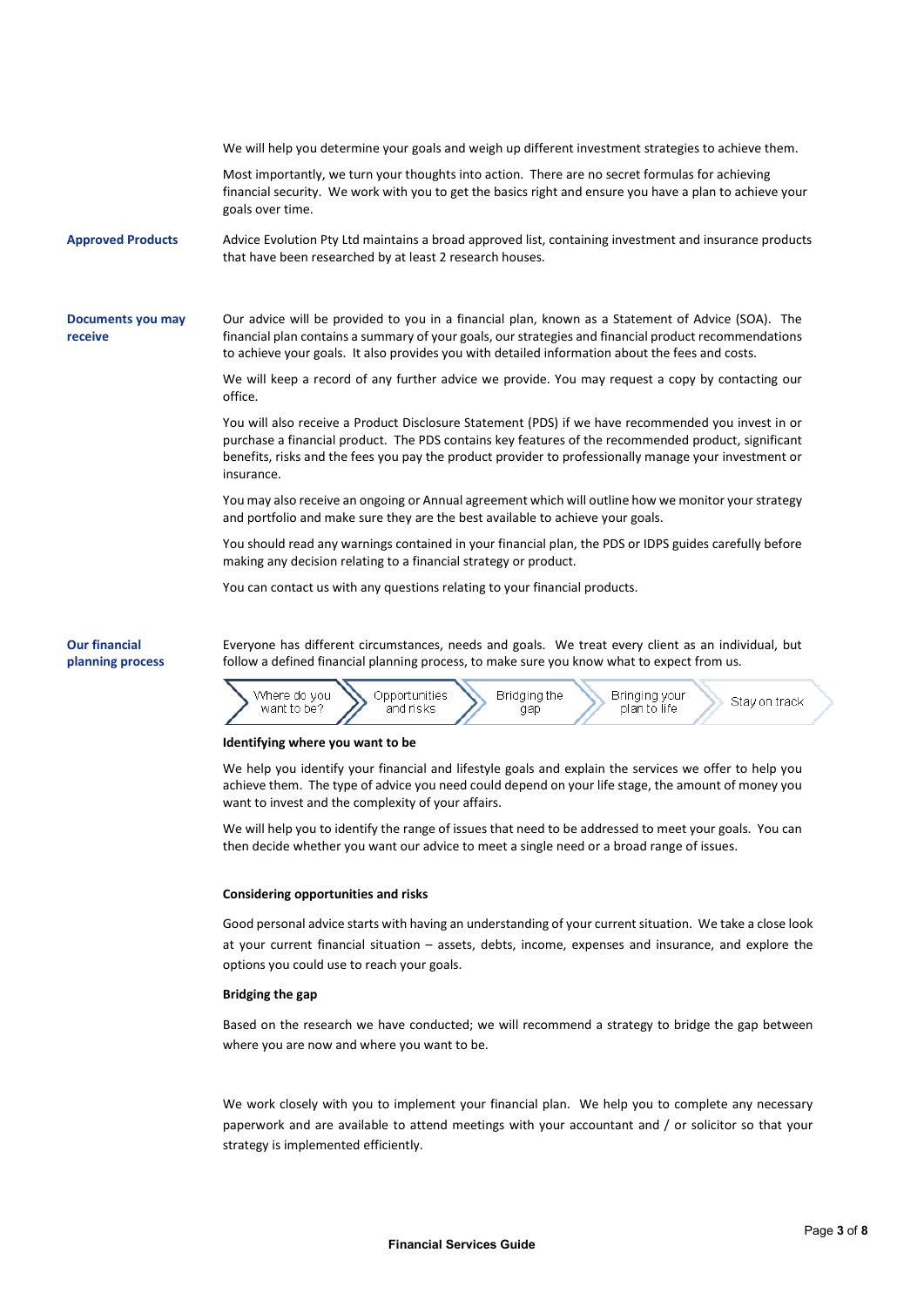|                                          | We will help you determine your goals and weigh up different investment strategies to achieve them.                                                                                                                                                                                                                              |
|------------------------------------------|----------------------------------------------------------------------------------------------------------------------------------------------------------------------------------------------------------------------------------------------------------------------------------------------------------------------------------|
|                                          | Most importantly, we turn your thoughts into action. There are no secret formulas for achieving<br>financial security. We work with you to get the basics right and ensure you have a plan to achieve your<br>goals over time.                                                                                                   |
| <b>Approved Products</b>                 | Advice Evolution Pty Ltd maintains a broad approved list, containing investment and insurance products<br>that have been researched by at least 2 research houses.                                                                                                                                                               |
| Documents you may<br>receive             | Our advice will be provided to you in a financial plan, known as a Statement of Advice (SOA). The<br>financial plan contains a summary of your goals, our strategies and financial product recommendations<br>to achieve your goals. It also provides you with detailed information about the fees and costs.                    |
|                                          | We will keep a record of any further advice we provide. You may request a copy by contacting our<br>office.                                                                                                                                                                                                                      |
|                                          | You will also receive a Product Disclosure Statement (PDS) if we have recommended you invest in or<br>purchase a financial product. The PDS contains key features of the recommended product, significant<br>benefits, risks and the fees you pay the product provider to professionally manage your investment or<br>insurance. |
|                                          | You may also receive an ongoing or Annual agreement which will outline how we monitor your strategy<br>and portfolio and make sure they are the best available to achieve your goals.                                                                                                                                            |
|                                          | You should read any warnings contained in your financial plan, the PDS or IDPS guides carefully before<br>making any decision relating to a financial strategy or product.                                                                                                                                                       |
|                                          | You can contact us with any questions relating to your financial products.                                                                                                                                                                                                                                                       |
| <b>Our financial</b><br>planning process | Everyone has different circumstances, needs and goals. We treat every client as an individual, but<br>follow a defined financial planning process, to make sure you know what to expect from us.                                                                                                                                 |



# **Identifying where you want to be**

We help you identify your financial and lifestyle goals and explain the services we offer to help you achieve them. The type of advice you need could depend on your life stage, the amount of money you want to invest and the complexity of your affairs.

We will help you to identify the range of issues that need to be addressed to meet your goals. You can then decide whether you want our advice to meet a single need or a broad range of issues.

# **Considering opportunities and risks**

Good personal advice starts with having an understanding of your current situation. We take a close look at your current financial situation – assets, debts, income, expenses and insurance, and explore the options you could use to reach your goals.

# **Bridging the gap**

Based on the research we have conducted; we will recommend a strategy to bridge the gap between where you are now and where you want to be.

We work closely with you to implement your financial plan. We help you to complete any necessary paperwork and are available to attend meetings with your accountant and / or solicitor so that your strategy is implemented efficiently.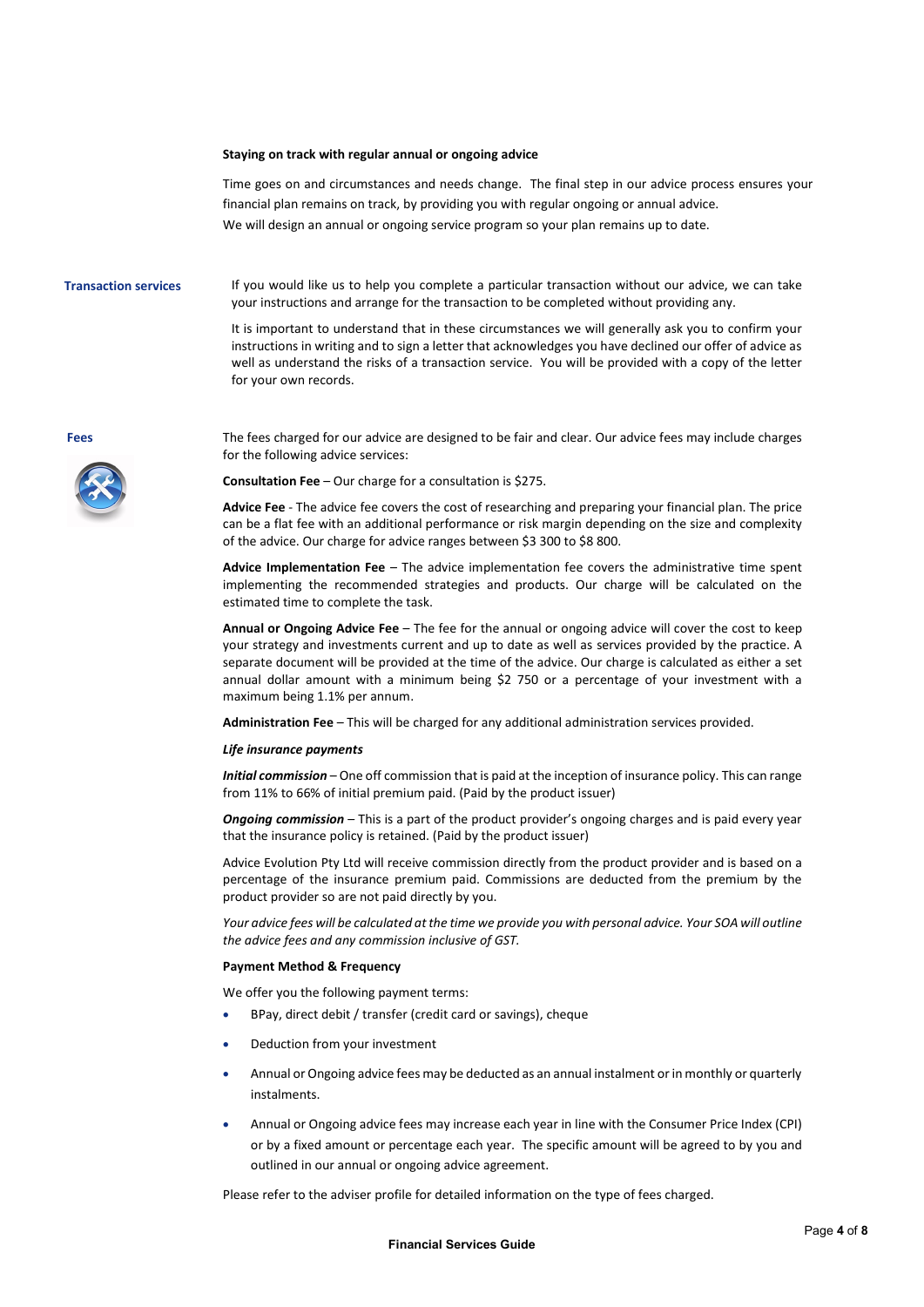### **Staying on track with regular annual or ongoing advice**

Time goes on and circumstances and needs change. The final step in our advice process ensures your financial plan remains on track, by providing you with regular ongoing or annual advice. We will design an annual or ongoing service program so your plan remains up to date.

**Transaction services** If you would like us to help you complete a particular transaction without our advice, we can take your instructions and arrange for the transaction to be completed without providing any.

> It is important to understand that in these circumstances we will generally ask you to confirm your instructions in writing and to sign a letter that acknowledges you have declined our offer of advice as well as understand the risks of a transaction service. You will be provided with a copy of the letter for your own records.



**Fees** The fees charged for our advice are designed to be fair and clear. Our advice fees may include charges for the following advice services:

**Consultation Fee** – Our charge for a consultation is \$275.

**Advice Fee** - The advice fee covers the cost of researching and preparing your financial plan. The price can be a flat fee with an additional performance or risk margin depending on the size and complexity of the advice. Our charge for advice ranges between \$3 300 to \$8 800.

**Advice Implementation Fee** – The advice implementation fee covers the administrative time spent implementing the recommended strategies and products. Our charge will be calculated on the estimated time to complete the task.

**Annual or Ongoing Advice Fee** – The fee for the annual or ongoing advice will cover the cost to keep your strategy and investments current and up to date as well as services provided by the practice. A separate document will be provided at the time of the advice. Our charge is calculated as either a set annual dollar amount with a minimum being \$2 750 or a percentage of your investment with a maximum being 1.1% per annum.

**Administration Fee** – This will be charged for any additional administration services provided.

### *Life insurance payments*

*Initial commission* – One off commission that is paid at the inception of insurance policy. This can range from 11% to 66% of initial premium paid. (Paid by the product issuer)

*Ongoing commission* – This is a part of the product provider's ongoing charges and is paid every year that the insurance policy is retained. (Paid by the product issuer)

Advice Evolution Pty Ltd will receive commission directly from the product provider and is based on a percentage of the insurance premium paid. Commissions are deducted from the premium by the product provider so are not paid directly by you.

*Your advice fees will be calculated at the time we provide you with personal advice. Your SOA will outline the advice fees and any commission inclusive of GST.*

### **Payment Method & Frequency**

We offer you the following payment terms:

- BPay, direct debit / transfer (credit card or savings), cheque
- Deduction from your investment
- Annual or Ongoing advice fees may be deducted as an annual instalment or in monthly or quarterly instalments.
- Annual or Ongoing advice fees may increase each year in line with the Consumer Price Index (CPI) or by a fixed amount or percentage each year. The specific amount will be agreed to by you and outlined in our annual or ongoing advice agreement.

Please refer to the adviser profile for detailed information on the type of fees charged.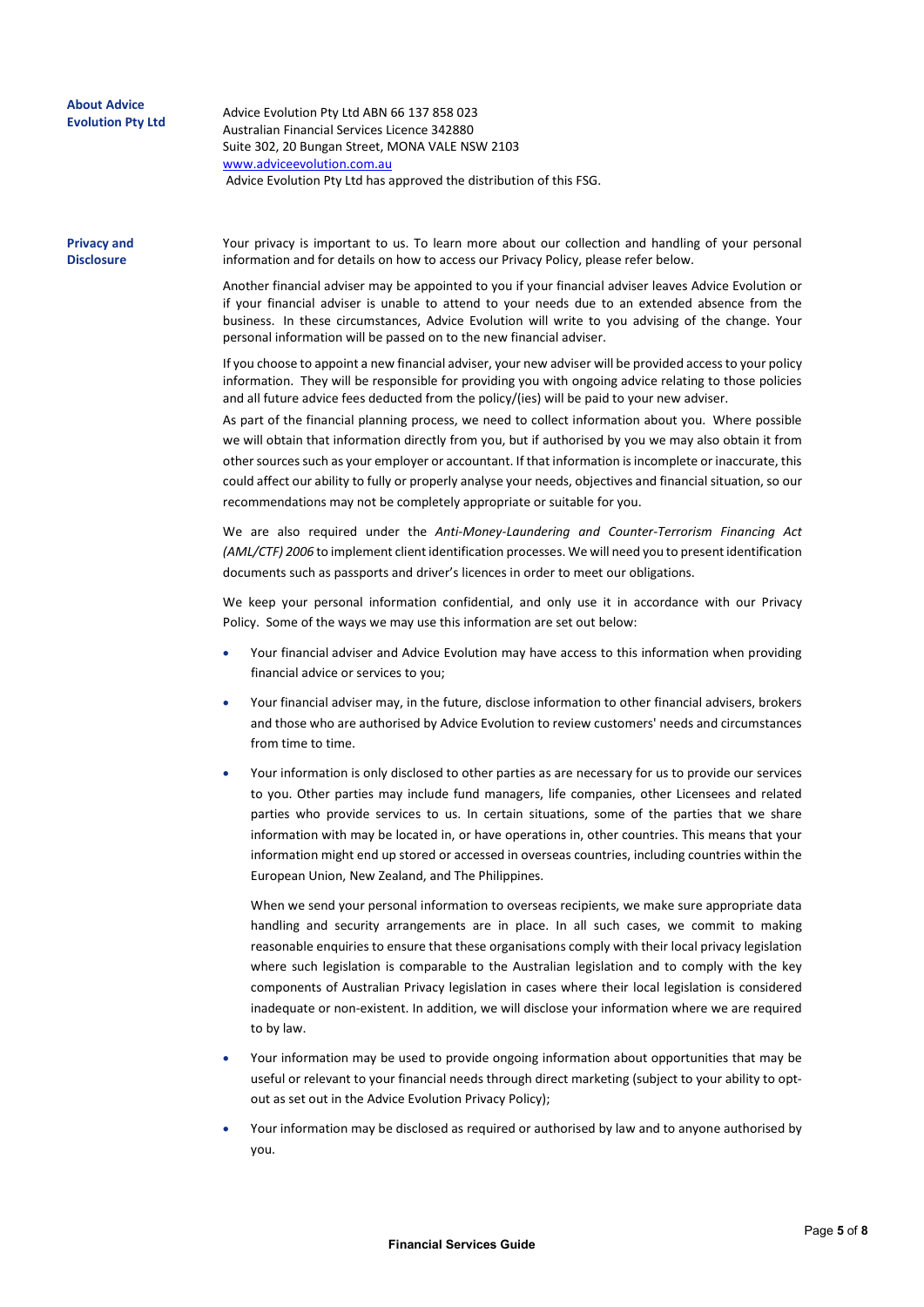| <b>About Advice</b><br><b>Evolution Pty Ltd</b> | Advice Evolution Pty Ltd ABN 66 137 858 023<br>Australian Financial Services Licence 342880<br>Suite 302, 20 Bungan Street, MONA VALE NSW 2103<br>www.adviceevolution.com.au<br>Advice Evolution Pty Ltd has approved the distribution of this FSG.                                                                                                                                    |
|-------------------------------------------------|----------------------------------------------------------------------------------------------------------------------------------------------------------------------------------------------------------------------------------------------------------------------------------------------------------------------------------------------------------------------------------------|
| <b>Privacy and</b><br><b>Disclosure</b>         | Your privacy is important to us. To learn more about our collection and handling of your personal<br>information and for details on how to access our Privacy Policy, please refer below.                                                                                                                                                                                              |
|                                                 | Another financial adviser may be appointed to you if your financial adviser leaves Advice Evolution or<br>if your financial adviser is unable to attend to your needs due to an extended absence from the<br>business. In these circumstances, Advice Evolution will write to you advising of the change. Your<br>personal information will be passed on to the new financial adviser. |
|                                                 | If you choose to appoint a new financial adviser, your new adviser will be provided access to your policy<br>information. They will be responsible for providing you with ongoing advice relating to those policies<br>and all future advice fees deducted from the policy/(ies) will be paid to your new adviser.                                                                     |

As part of the financial planning process, we need to collect information about you. Where possible we will obtain that information directly from you, but if authorised by you we may also obtain it from other sources such as your employer or accountant. If that information is incomplete or inaccurate, this could affect our ability to fully or properly analyse your needs, objectives and financial situation, so our recommendations may not be completely appropriate or suitable for you.

We are also required under the *Anti-Money-Laundering and Counter-Terrorism Financing Act (AML/CTF) 2006* to implement client identification processes. We will need you to present identification documents such as passports and driver's licences in order to meet our obligations.

We keep your personal information confidential, and only use it in accordance with our Privacy Policy. Some of the ways we may use this information are set out below:

- Your financial adviser and Advice Evolution may have access to this information when providing financial advice or services to you;
- Your financial adviser may, in the future, disclose information to other financial advisers, brokers and those who are authorised by Advice Evolution to review customers' needs and circumstances from time to time.
- Your information is only disclosed to other parties as are necessary for us to provide our services to you. Other parties may include fund managers, life companies, other Licensees and related parties who provide services to us. In certain situations, some of the parties that we share information with may be located in, or have operations in, other countries. This means that your information might end up stored or accessed in overseas countries, including countries within the European Union, New Zealand, and The Philippines.

When we send your personal information to overseas recipients, we make sure appropriate data handling and security arrangements are in place. In all such cases, we commit to making reasonable enquiries to ensure that these organisations comply with their local privacy legislation where such legislation is comparable to the Australian legislation and to comply with the key components of Australian Privacy legislation in cases where their local legislation is considered inadequate or non-existent. In addition, we will disclose your information where we are required to by law.

- Your information may be used to provide ongoing information about opportunities that may be useful or relevant to your financial needs through direct marketing (subject to your ability to optout as set out in the Advice Evolution Privacy Policy);
- Your information may be disclosed as required or authorised by law and to anyone authorised by you.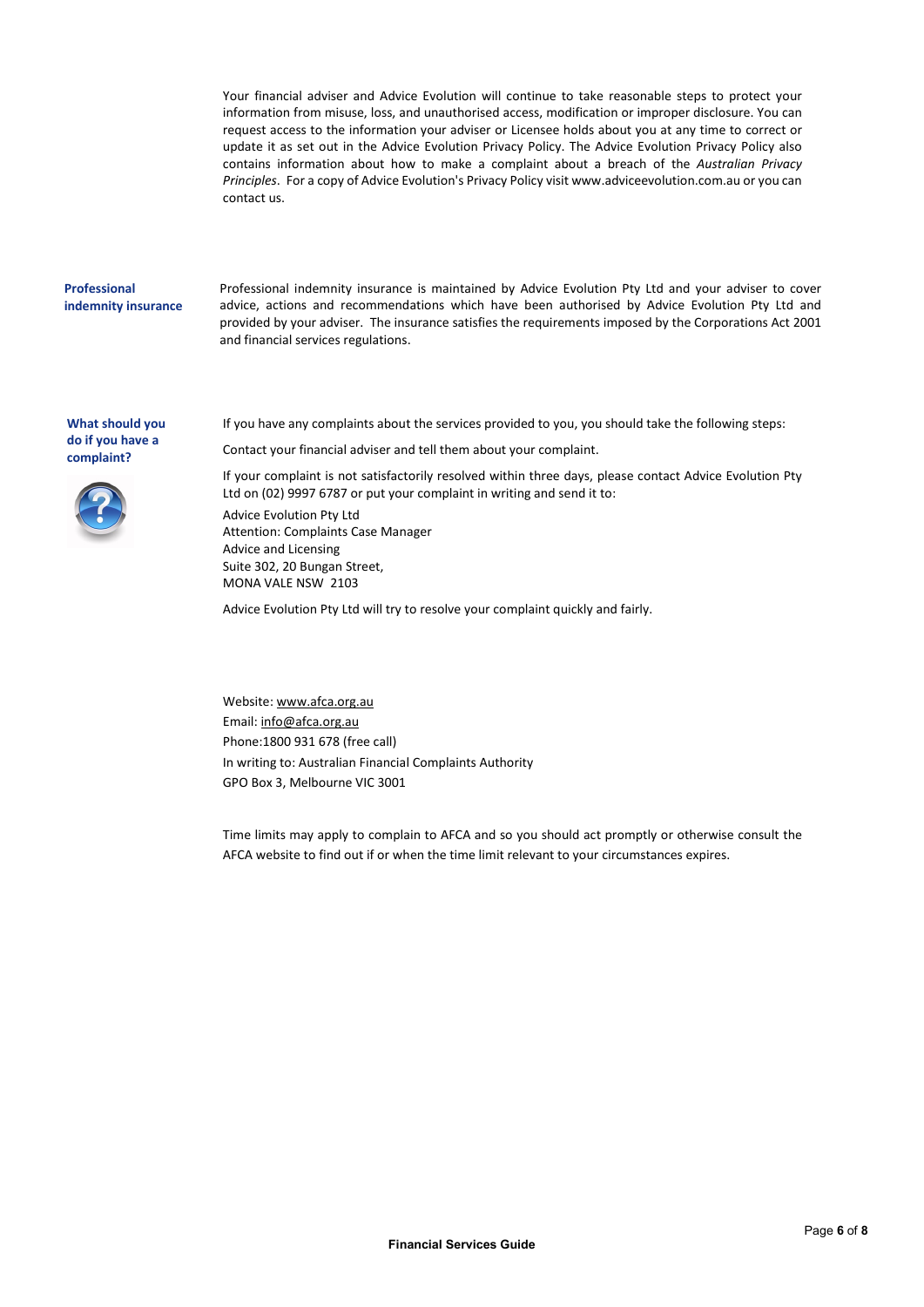Your financial adviser and Advice Evolution will continue to take reasonable steps to protect your information from misuse, loss, and unauthorised access, modification or improper disclosure. You can request access to the information your adviser or Licensee holds about you at any time to correct or update it as set out in the Advice Evolution Privacy Policy. The Advice Evolution Privacy Policy also contains information about how to make a complaint about a breach of the *Australian Privacy Principles*. For a copy of Advice Evolution's Privacy Policy visit www.adviceevolution.com.au or you can contact us.

# **Professional indemnity insurance**

Professional indemnity insurance is maintained by Advice Evolution Pty Ltd and your adviser to cover advice, actions and recommendations which have been authorised by Advice Evolution Pty Ltd and provided by your adviser. The insurance satisfies the requirements imposed by the Corporations Act 2001 and financial services regulations.

**What should you do if you have a complaint?** 



If you have any complaints about the services provided to you, you should take the following steps:

Contact your financial adviser and tell them about your complaint.

If your complaint is not satisfactorily resolved within three days, please contact Advice Evolution Pty Ltd on (02) 9997 6787 or put your complaint in writing and send it to: Advice Evolution Pty Ltd Attention: Complaints Case Manager Advice and Licensing Suite 302, 20 Bungan Street, MONA VALE NSW 2103

Advice Evolution Pty Ltd will try to resolve your complaint quickly and fairly.

Website[: www.afca.org.au](http://www.afca.org.au/) Email: [info@afca.org.au](mailto:info@afca.org.au) Phone:1800 931 678 (free call) In writing to: Australian Financial Complaints Authority GPO Box 3, Melbourne VIC 3001

Time limits may apply to complain to AFCA and so you should act promptly or otherwise consult the AFCA website to find out if or when the time limit relevant to your circumstances expires.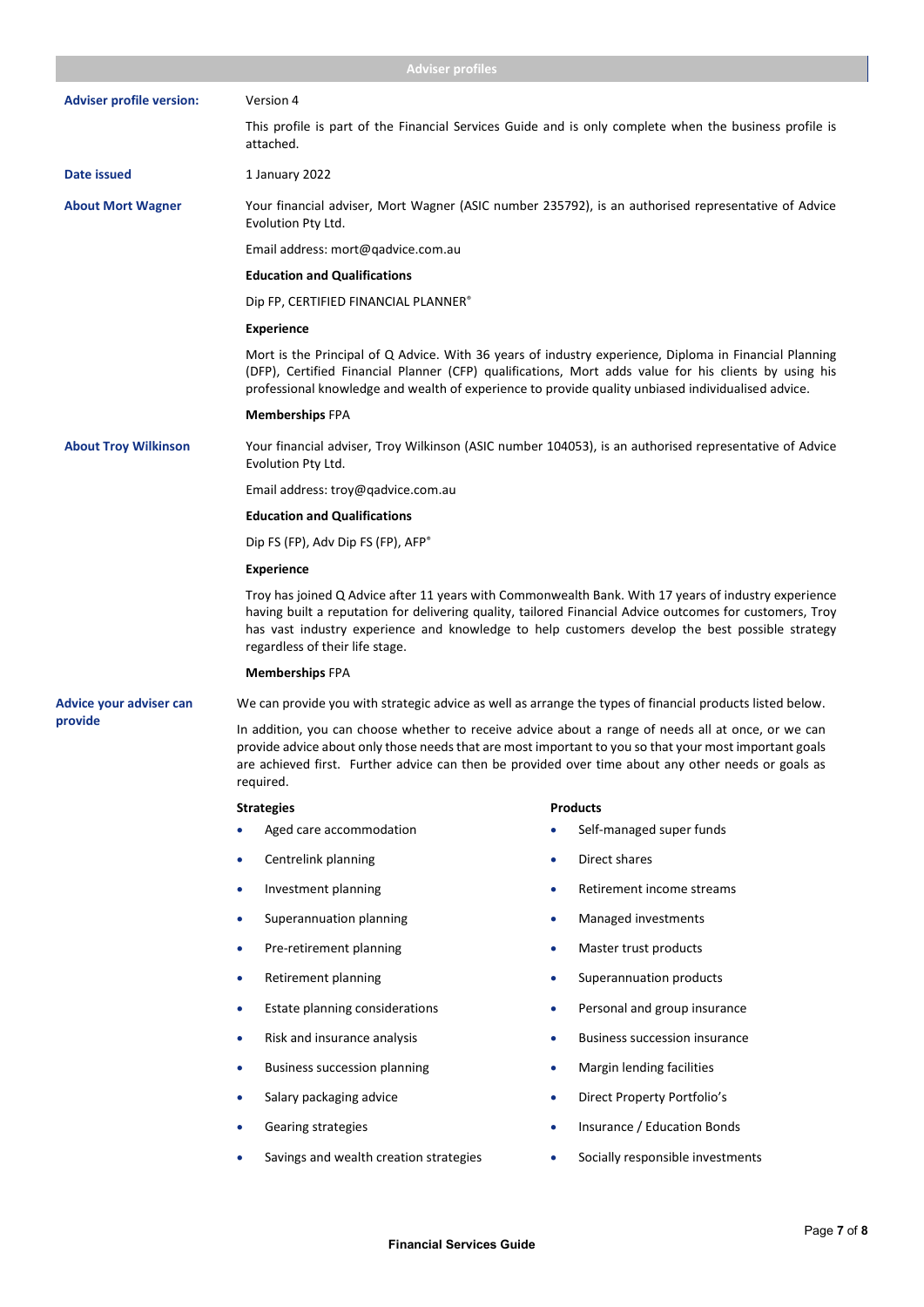|                                 | <b>Adviser profiles</b>                                                                                                                                                                                                                                                                                                                                |                                                                                                        |  |
|---------------------------------|--------------------------------------------------------------------------------------------------------------------------------------------------------------------------------------------------------------------------------------------------------------------------------------------------------------------------------------------------------|--------------------------------------------------------------------------------------------------------|--|
| <b>Adviser profile version:</b> | Version 4                                                                                                                                                                                                                                                                                                                                              |                                                                                                        |  |
|                                 | attached.                                                                                                                                                                                                                                                                                                                                              | This profile is part of the Financial Services Guide and is only complete when the business profile is |  |
| Date issued                     | 1 January 2022                                                                                                                                                                                                                                                                                                                                         |                                                                                                        |  |
| <b>About Mort Wagner</b>        | Your financial adviser, Mort Wagner (ASIC number 235792), is an authorised representative of Advice<br>Evolution Pty Ltd.                                                                                                                                                                                                                              |                                                                                                        |  |
|                                 | Email address: mort@qadvice.com.au                                                                                                                                                                                                                                                                                                                     |                                                                                                        |  |
|                                 | <b>Education and Qualifications</b>                                                                                                                                                                                                                                                                                                                    |                                                                                                        |  |
|                                 | Dip FP, CERTIFIED FINANCIAL PLANNER®                                                                                                                                                                                                                                                                                                                   |                                                                                                        |  |
|                                 | <b>Experience</b>                                                                                                                                                                                                                                                                                                                                      |                                                                                                        |  |
|                                 | Mort is the Principal of Q Advice. With 36 years of industry experience, Diploma in Financial Planning<br>(DFP), Certified Financial Planner (CFP) qualifications, Mort adds value for his clients by using his<br>professional knowledge and wealth of experience to provide quality unbiased individualised advice.                                  |                                                                                                        |  |
|                                 | <b>Memberships FPA</b>                                                                                                                                                                                                                                                                                                                                 |                                                                                                        |  |
| <b>About Troy Wilkinson</b>     | Your financial adviser, Troy Wilkinson (ASIC number 104053), is an authorised representative of Advice<br>Evolution Pty Ltd.                                                                                                                                                                                                                           |                                                                                                        |  |
|                                 | Email address: troy@qadvice.com.au                                                                                                                                                                                                                                                                                                                     |                                                                                                        |  |
|                                 | <b>Education and Qualifications</b>                                                                                                                                                                                                                                                                                                                    |                                                                                                        |  |
|                                 | Dip FS (FP), Adv Dip FS (FP), AFP®                                                                                                                                                                                                                                                                                                                     |                                                                                                        |  |
|                                 | <b>Experience</b>                                                                                                                                                                                                                                                                                                                                      |                                                                                                        |  |
|                                 | Troy has joined Q Advice after 11 years with Commonwealth Bank. With 17 years of industry experience<br>having built a reputation for delivering quality, tailored Financial Advice outcomes for customers, Troy<br>has vast industry experience and knowledge to help customers develop the best possible strategy<br>regardless of their life stage. |                                                                                                        |  |
|                                 | <b>Memberships FPA</b>                                                                                                                                                                                                                                                                                                                                 |                                                                                                        |  |
| Advice your adviser can         | We can provide you with strategic advice as well as arrange the types of financial products listed below.                                                                                                                                                                                                                                              |                                                                                                        |  |
| provide                         | In addition, you can choose whether to receive advice about a range of needs all at once, or we can<br>provide advice about only those needs that are most important to you so that your most important goals<br>are achieved first. Further advice can then be provided over time about any other needs or goals as<br>required.                      |                                                                                                        |  |
|                                 | <b>Strategies</b>                                                                                                                                                                                                                                                                                                                                      | <b>Products</b>                                                                                        |  |
|                                 | Aged care accommodation                                                                                                                                                                                                                                                                                                                                | Self-managed super funds                                                                               |  |
|                                 | Centrelink planning<br>٠                                                                                                                                                                                                                                                                                                                               | Direct shares<br>۰                                                                                     |  |
|                                 | Investment planning<br>۰                                                                                                                                                                                                                                                                                                                               | Retirement income streams<br>۰                                                                         |  |
|                                 | Superannuation planning<br>٠                                                                                                                                                                                                                                                                                                                           | Managed investments<br>۰                                                                               |  |
|                                 | Pre-retirement planning<br>٠                                                                                                                                                                                                                                                                                                                           | Master trust products<br>۰                                                                             |  |
|                                 | Retirement planning<br>۰                                                                                                                                                                                                                                                                                                                               | Superannuation products<br>٠                                                                           |  |
|                                 | Estate planning considerations<br>٠                                                                                                                                                                                                                                                                                                                    | Personal and group insurance<br>۰                                                                      |  |
|                                 | Risk and insurance analysis<br>۰                                                                                                                                                                                                                                                                                                                       | <b>Business succession insurance</b><br>۰                                                              |  |
|                                 | <b>Business succession planning</b><br>٠                                                                                                                                                                                                                                                                                                               | Margin lending facilities<br>۰                                                                         |  |
|                                 | Salary packaging advice<br>۰                                                                                                                                                                                                                                                                                                                           | Direct Property Portfolio's<br>۰                                                                       |  |
|                                 | Gearing strategies                                                                                                                                                                                                                                                                                                                                     | Insurance / Education Bonds                                                                            |  |
|                                 | Savings and wealth creation strategies                                                                                                                                                                                                                                                                                                                 | Socially responsible investments                                                                       |  |
|                                 |                                                                                                                                                                                                                                                                                                                                                        |                                                                                                        |  |